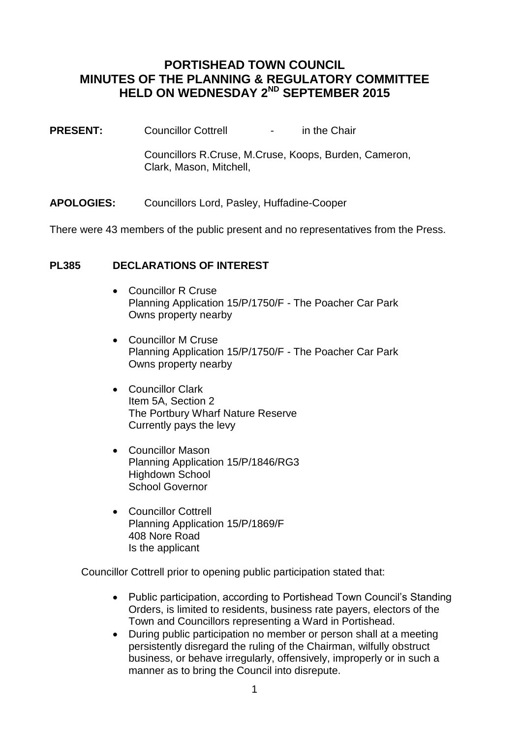# **PORTISHEAD TOWN COUNCIL MINUTES OF THE PLANNING & REGULATORY COMMITTEE HELD ON WEDNESDAY 2ND SEPTEMBER 2015**

**PRESENT:** Councillor Cottrell - in the Chair

Councillors R.Cruse, M.Cruse, Koops, Burden, Cameron, Clark, Mason, Mitchell,

**APOLOGIES:** Councillors Lord, Pasley, Huffadine-Cooper

There were 43 members of the public present and no representatives from the Press.

#### **PL385 DECLARATIONS OF INTEREST**

- Councillor R Cruse Planning Application 15/P/1750/F - The Poacher Car Park Owns property nearby
- Councillor M Cruse Planning Application 15/P/1750/F - The Poacher Car Park Owns property nearby
- Councillor Clark Item 5A, Section 2 The Portbury Wharf Nature Reserve Currently pays the levy
- Councillor Mason Planning Application 15/P/1846/RG3 Highdown School School Governor
- Councillor Cottrell Planning Application 15/P/1869/F 408 Nore Road Is the applicant

Councillor Cottrell prior to opening public participation stated that:

- Public participation, according to Portishead Town Council's Standing Orders, is limited to residents, business rate payers, electors of the Town and Councillors representing a Ward in Portishead.
- During public participation no member or person shall at a meeting persistently disregard the ruling of the Chairman, wilfully obstruct business, or behave irregularly, offensively, improperly or in such a manner as to bring the Council into disrepute.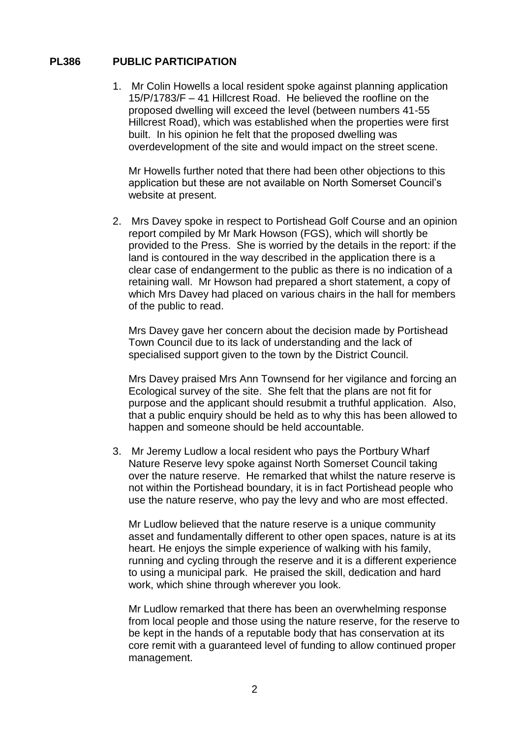## **PL386 PUBLIC PARTICIPATION**

1. Mr Colin Howells a local resident spoke against planning application 15/P/1783/F – 41 Hillcrest Road. He believed the roofline on the proposed dwelling will exceed the level (between numbers 41-55 Hillcrest Road), which was established when the properties were first built. In his opinion he felt that the proposed dwelling was overdevelopment of the site and would impact on the street scene.

Mr Howells further noted that there had been other objections to this application but these are not available on North Somerset Council's website at present.

2. Mrs Davey spoke in respect to Portishead Golf Course and an opinion report compiled by Mr Mark Howson (FGS), which will shortly be provided to the Press. She is worried by the details in the report: if the land is contoured in the way described in the application there is a clear case of endangerment to the public as there is no indication of a retaining wall. Mr Howson had prepared a short statement, a copy of which Mrs Davey had placed on various chairs in the hall for members of the public to read.

Mrs Davey gave her concern about the decision made by Portishead Town Council due to its lack of understanding and the lack of specialised support given to the town by the District Council.

Mrs Davey praised Mrs Ann Townsend for her vigilance and forcing an Ecological survey of the site. She felt that the plans are not fit for purpose and the applicant should resubmit a truthful application. Also, that a public enquiry should be held as to why this has been allowed to happen and someone should be held accountable.

3. Mr Jeremy Ludlow a local resident who pays the Portbury Wharf Nature Reserve levy spoke against North Somerset Council taking over the nature reserve. He remarked that whilst the nature reserve is not within the Portishead boundary, it is in fact Portishead people who use the nature reserve, who pay the levy and who are most effected.

Mr Ludlow believed that the nature reserve is a unique community asset and fundamentally different to other open spaces, nature is at its heart. He enjoys the simple experience of walking with his family, running and cycling through the reserve and it is a different experience to using a municipal park. He praised the skill, dedication and hard work, which shine through wherever you look.

Mr Ludlow remarked that there has been an overwhelming response from local people and those using the nature reserve, for the reserve to be kept in the hands of a reputable body that has conservation at its core remit with a guaranteed level of funding to allow continued proper management.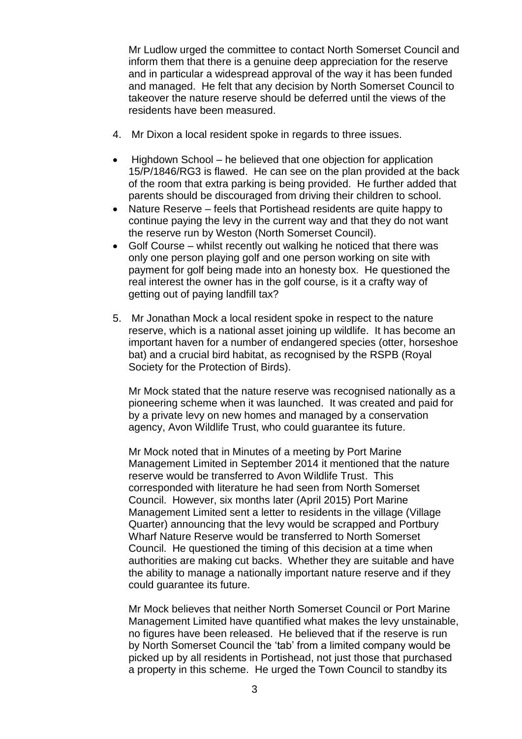Mr Ludlow urged the committee to contact North Somerset Council and inform them that there is a genuine deep appreciation for the reserve and in particular a widespread approval of the way it has been funded and managed. He felt that any decision by North Somerset Council to takeover the nature reserve should be deferred until the views of the residents have been measured.

- 4. Mr Dixon a local resident spoke in regards to three issues.
- Highdown School he believed that one objection for application 15/P/1846/RG3 is flawed. He can see on the plan provided at the back of the room that extra parking is being provided. He further added that parents should be discouraged from driving their children to school.
- Nature Reserve feels that Portishead residents are quite happy to continue paying the levy in the current way and that they do not want the reserve run by Weston (North Somerset Council).
- Golf Course whilst recently out walking he noticed that there was only one person playing golf and one person working on site with payment for golf being made into an honesty box. He questioned the real interest the owner has in the golf course, is it a crafty way of getting out of paying landfill tax?
- 5. Mr Jonathan Mock a local resident spoke in respect to the nature reserve, which is a national asset joining up wildlife. It has become an important haven for a number of endangered species (otter, horseshoe bat) and a crucial bird habitat, as recognised by the RSPB (Royal Society for the Protection of Birds).

Mr Mock stated that the nature reserve was recognised nationally as a pioneering scheme when it was launched. It was created and paid for by a private levy on new homes and managed by a conservation agency, Avon Wildlife Trust, who could guarantee its future.

Mr Mock noted that in Minutes of a meeting by Port Marine Management Limited in September 2014 it mentioned that the nature reserve would be transferred to Avon Wildlife Trust. This corresponded with literature he had seen from North Somerset Council. However, six months later (April 2015) Port Marine Management Limited sent a letter to residents in the village (Village Quarter) announcing that the levy would be scrapped and Portbury Wharf Nature Reserve would be transferred to North Somerset Council. He questioned the timing of this decision at a time when authorities are making cut backs. Whether they are suitable and have the ability to manage a nationally important nature reserve and if they could guarantee its future.

Mr Mock believes that neither North Somerset Council or Port Marine Management Limited have quantified what makes the levy unstainable, no figures have been released. He believed that if the reserve is run by North Somerset Council the 'tab' from a limited company would be picked up by all residents in Portishead, not just those that purchased a property in this scheme. He urged the Town Council to standby its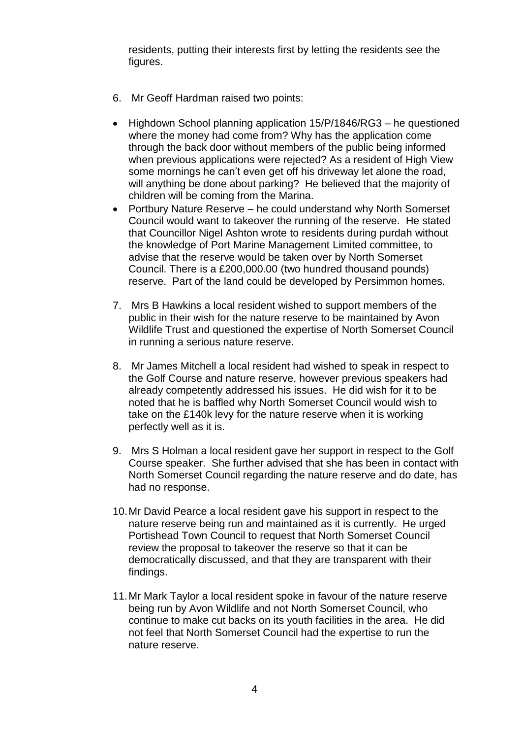residents, putting their interests first by letting the residents see the figures.

- 6. Mr Geoff Hardman raised two points:
- $\bullet$  Highdown School planning application 15/P/1846/RG3 he questioned where the money had come from? Why has the application come through the back door without members of the public being informed when previous applications were rejected? As a resident of High View some mornings he can't even get off his driveway let alone the road, will anything be done about parking? He believed that the majority of children will be coming from the Marina.
- Portbury Nature Reserve he could understand why North Somerset Council would want to takeover the running of the reserve. He stated that Councillor Nigel Ashton wrote to residents during purdah without the knowledge of Port Marine Management Limited committee, to advise that the reserve would be taken over by North Somerset Council. There is a £200,000.00 (two hundred thousand pounds) reserve. Part of the land could be developed by Persimmon homes.
- 7. Mrs B Hawkins a local resident wished to support members of the public in their wish for the nature reserve to be maintained by Avon Wildlife Trust and questioned the expertise of North Somerset Council in running a serious nature reserve.
- 8. Mr James Mitchell a local resident had wished to speak in respect to the Golf Course and nature reserve, however previous speakers had already competently addressed his issues. He did wish for it to be noted that he is baffled why North Somerset Council would wish to take on the £140k levy for the nature reserve when it is working perfectly well as it is.
- 9. Mrs S Holman a local resident gave her support in respect to the Golf Course speaker. She further advised that she has been in contact with North Somerset Council regarding the nature reserve and do date, has had no response.
- 10.Mr David Pearce a local resident gave his support in respect to the nature reserve being run and maintained as it is currently. He urged Portishead Town Council to request that North Somerset Council review the proposal to takeover the reserve so that it can be democratically discussed, and that they are transparent with their findings.
- 11.Mr Mark Taylor a local resident spoke in favour of the nature reserve being run by Avon Wildlife and not North Somerset Council, who continue to make cut backs on its youth facilities in the area. He did not feel that North Somerset Council had the expertise to run the nature reserve.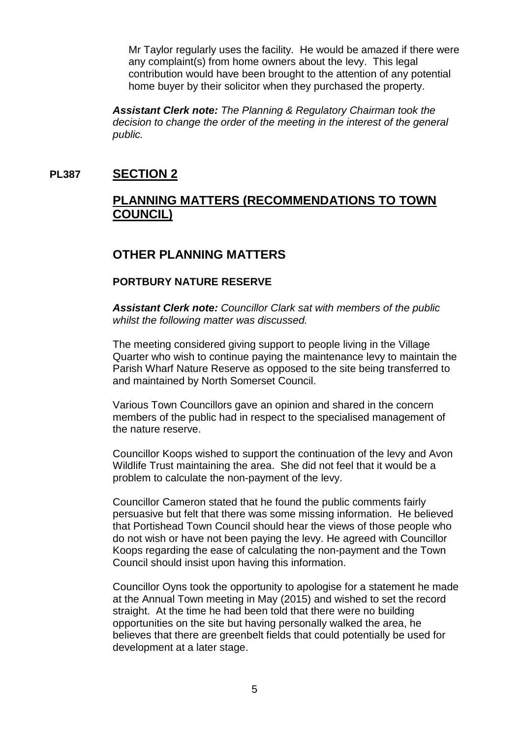Mr Taylor regularly uses the facility. He would be amazed if there were any complaint(s) from home owners about the levy. This legal contribution would have been brought to the attention of any potential home buyer by their solicitor when they purchased the property.

*Assistant Clerk note: The Planning & Regulatory Chairman took the decision to change the order of the meeting in the interest of the general public.*

## **PL387 SECTION 2**

## **PLANNING MATTERS (RECOMMENDATIONS TO TOWN COUNCIL)**

## **OTHER PLANNING MATTERS**

#### **PORTBURY NATURE RESERVE**

*Assistant Clerk note: Councillor Clark sat with members of the public whilst the following matter was discussed.*

The meeting considered giving support to people living in the Village Quarter who wish to continue paying the maintenance levy to maintain the Parish Wharf Nature Reserve as opposed to the site being transferred to and maintained by North Somerset Council.

Various Town Councillors gave an opinion and shared in the concern members of the public had in respect to the specialised management of the nature reserve.

Councillor Koops wished to support the continuation of the levy and Avon Wildlife Trust maintaining the area. She did not feel that it would be a problem to calculate the non-payment of the levy.

Councillor Cameron stated that he found the public comments fairly persuasive but felt that there was some missing information. He believed that Portishead Town Council should hear the views of those people who do not wish or have not been paying the levy. He agreed with Councillor Koops regarding the ease of calculating the non-payment and the Town Council should insist upon having this information.

Councillor Oyns took the opportunity to apologise for a statement he made at the Annual Town meeting in May (2015) and wished to set the record straight. At the time he had been told that there were no building opportunities on the site but having personally walked the area, he believes that there are greenbelt fields that could potentially be used for development at a later stage.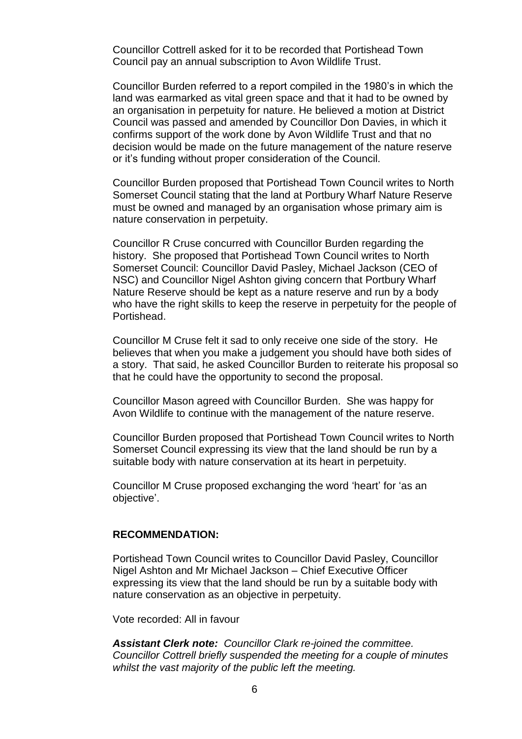Councillor Cottrell asked for it to be recorded that Portishead Town Council pay an annual subscription to Avon Wildlife Trust.

Councillor Burden referred to a report compiled in the 1980's in which the land was earmarked as vital green space and that it had to be owned by an organisation in perpetuity for nature. He believed a motion at District Council was passed and amended by Councillor Don Davies, in which it confirms support of the work done by Avon Wildlife Trust and that no decision would be made on the future management of the nature reserve or it's funding without proper consideration of the Council.

Councillor Burden proposed that Portishead Town Council writes to North Somerset Council stating that the land at Portbury Wharf Nature Reserve must be owned and managed by an organisation whose primary aim is nature conservation in perpetuity.

Councillor R Cruse concurred with Councillor Burden regarding the history. She proposed that Portishead Town Council writes to North Somerset Council: Councillor David Pasley, Michael Jackson (CEO of NSC) and Councillor Nigel Ashton giving concern that Portbury Wharf Nature Reserve should be kept as a nature reserve and run by a body who have the right skills to keep the reserve in perpetuity for the people of Portishead.

Councillor M Cruse felt it sad to only receive one side of the story. He believes that when you make a judgement you should have both sides of a story. That said, he asked Councillor Burden to reiterate his proposal so that he could have the opportunity to second the proposal.

Councillor Mason agreed with Councillor Burden. She was happy for Avon Wildlife to continue with the management of the nature reserve.

Councillor Burden proposed that Portishead Town Council writes to North Somerset Council expressing its view that the land should be run by a suitable body with nature conservation at its heart in perpetuity.

Councillor M Cruse proposed exchanging the word 'heart' for 'as an objective'.

#### **RECOMMENDATION:**

Portishead Town Council writes to Councillor David Pasley, Councillor Nigel Ashton and Mr Michael Jackson – Chief Executive Officer expressing its view that the land should be run by a suitable body with nature conservation as an objective in perpetuity.

Vote recorded: All in favour

*Assistant Clerk note: Councillor Clark re-joined the committee. Councillor Cottrell briefly suspended the meeting for a couple of minutes whilst the vast majority of the public left the meeting.*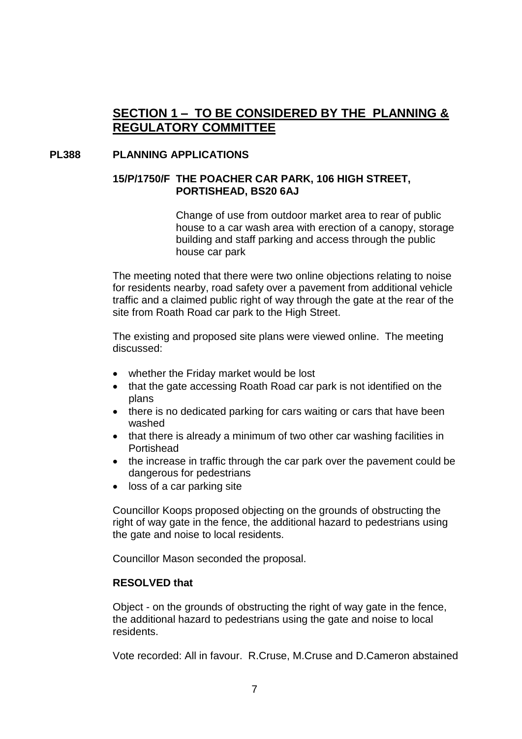# **SECTION 1 – TO BE CONSIDERED BY THE PLANNING & REGULATORY COMMITTEE**

## **PL388 PLANNING APPLICATIONS**

#### **15/P/1750/F THE POACHER CAR PARK, 106 HIGH STREET, PORTISHEAD, BS20 6AJ**

Change of use from outdoor market area to rear of public house to a car wash area with erection of a canopy, storage building and staff parking and access through the public house car park

The meeting noted that there were two online objections relating to noise for residents nearby, road safety over a pavement from additional vehicle traffic and a claimed public right of way through the gate at the rear of the site from Roath Road car park to the High Street.

The existing and proposed site plans were viewed online. The meeting discussed:

- whether the Friday market would be lost
- that the gate accessing Roath Road car park is not identified on the plans
- there is no dedicated parking for cars waiting or cars that have been washed
- that there is already a minimum of two other car washing facilities in Portishead
- the increase in traffic through the car park over the pavement could be dangerous for pedestrians
- loss of a car parking site

Councillor Koops proposed objecting on the grounds of obstructing the right of way gate in the fence, the additional hazard to pedestrians using the gate and noise to local residents.

Councillor Mason seconded the proposal.

#### **RESOLVED that**

Object - on the grounds of obstructing the right of way gate in the fence, the additional hazard to pedestrians using the gate and noise to local residents.

Vote recorded: All in favour. R.Cruse, M.Cruse and D.Cameron abstained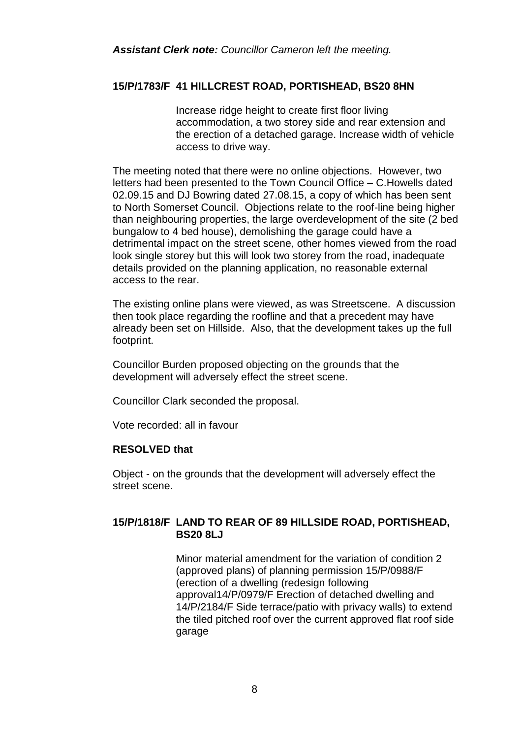## **15/P/1783/F 41 HILLCREST ROAD, PORTISHEAD, BS20 8HN**

Increase ridge height to create first floor living accommodation, a two storey side and rear extension and the erection of a detached garage. Increase width of vehicle access to drive way.

The meeting noted that there were no online objections. However, two letters had been presented to the Town Council Office – C.Howells dated 02.09.15 and DJ Bowring dated 27.08.15, a copy of which has been sent to North Somerset Council. Objections relate to the roof-line being higher than neighbouring properties, the large overdevelopment of the site (2 bed bungalow to 4 bed house), demolishing the garage could have a detrimental impact on the street scene, other homes viewed from the road look single storey but this will look two storey from the road, inadequate details provided on the planning application, no reasonable external access to the rear.

The existing online plans were viewed, as was Streetscene. A discussion then took place regarding the roofline and that a precedent may have already been set on Hillside. Also, that the development takes up the full footprint.

Councillor Burden proposed objecting on the grounds that the development will adversely effect the street scene.

Councillor Clark seconded the proposal.

Vote recorded: all in favour

#### **RESOLVED that**

Object - on the grounds that the development will adversely effect the street scene.

## **15/P/1818/F LAND TO REAR OF 89 HILLSIDE ROAD, PORTISHEAD, BS20 8LJ**

Minor material amendment for the variation of condition 2 (approved plans) of planning permission 15/P/0988/F (erection of a dwelling (redesign following approval14/P/0979/F Erection of detached dwelling and 14/P/2184/F Side terrace/patio with privacy walls) to extend the tiled pitched roof over the current approved flat roof side garage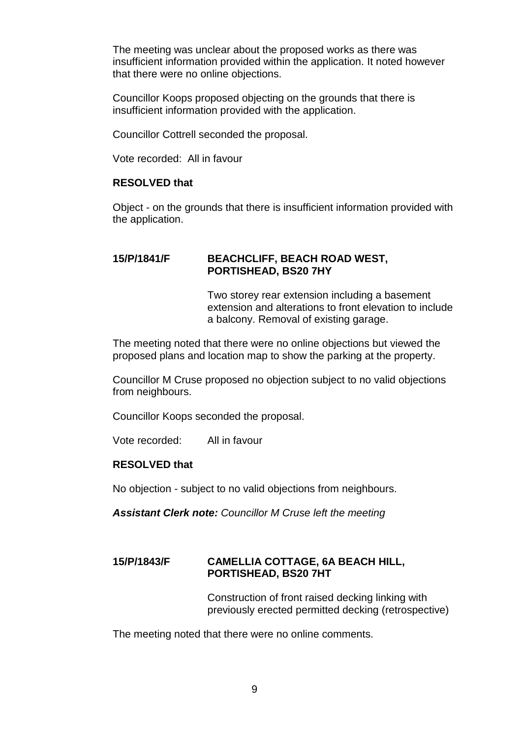The meeting was unclear about the proposed works as there was insufficient information provided within the application. It noted however that there were no online objections.

Councillor Koops proposed objecting on the grounds that there is insufficient information provided with the application.

Councillor Cottrell seconded the proposal.

Vote recorded: All in favour

#### **RESOLVED that**

Object - on the grounds that there is insufficient information provided with the application.

#### **15/P/1841/F BEACHCLIFF, BEACH ROAD WEST, PORTISHEAD, BS20 7HY**

Two storey rear extension including a basement extension and alterations to front elevation to include a balcony. Removal of existing garage.

The meeting noted that there were no online objections but viewed the proposed plans and location map to show the parking at the property.

Councillor M Cruse proposed no objection subject to no valid objections from neighbours.

Councillor Koops seconded the proposal.

Vote recorded: All in favour

#### **RESOLVED that**

No objection - subject to no valid objections from neighbours.

*Assistant Clerk note: Councillor M Cruse left the meeting*

#### **15/P/1843/F CAMELLIA COTTAGE, 6A BEACH HILL, PORTISHEAD, BS20 7HT**

Construction of front raised decking linking with previously erected permitted decking (retrospective)

The meeting noted that there were no online comments.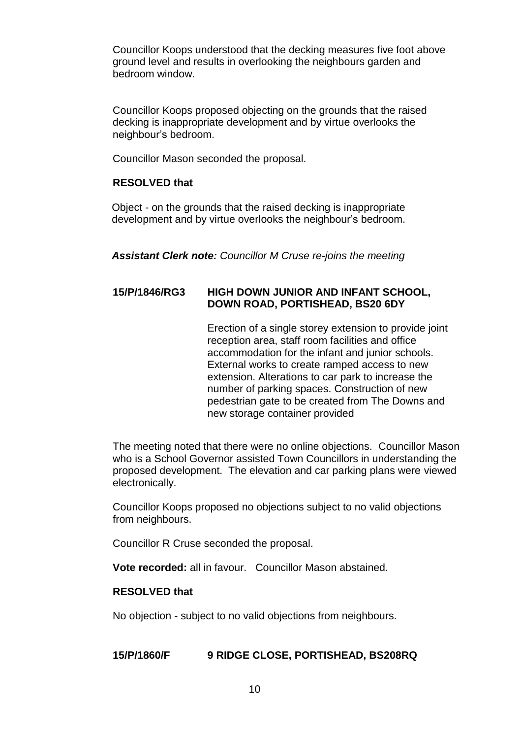Councillor Koops understood that the decking measures five foot above ground level and results in overlooking the neighbours garden and bedroom window.

Councillor Koops proposed objecting on the grounds that the raised decking is inappropriate development and by virtue overlooks the neighbour's bedroom.

Councillor Mason seconded the proposal.

#### **RESOLVED that**

Object - on the grounds that the raised decking is inappropriate development and by virtue overlooks the neighbour's bedroom.

*Assistant Clerk note: Councillor M Cruse re-joins the meeting*

#### **15/P/1846/RG3 HIGH DOWN JUNIOR AND INFANT SCHOOL, DOWN ROAD, PORTISHEAD, BS20 6DY**

Erection of a single storey extension to provide joint reception area, staff room facilities and office accommodation for the infant and junior schools. External works to create ramped access to new extension. Alterations to car park to increase the number of parking spaces. Construction of new pedestrian gate to be created from The Downs and new storage container provided

The meeting noted that there were no online objections. Councillor Mason who is a School Governor assisted Town Councillors in understanding the proposed development. The elevation and car parking plans were viewed electronically.

Councillor Koops proposed no objections subject to no valid objections from neighbours.

Councillor R Cruse seconded the proposal.

**Vote recorded:** all in favour. Councillor Mason abstained.

#### **RESOLVED that**

No objection - subject to no valid objections from neighbours.

#### **15/P/1860/F 9 RIDGE CLOSE, PORTISHEAD, BS208RQ**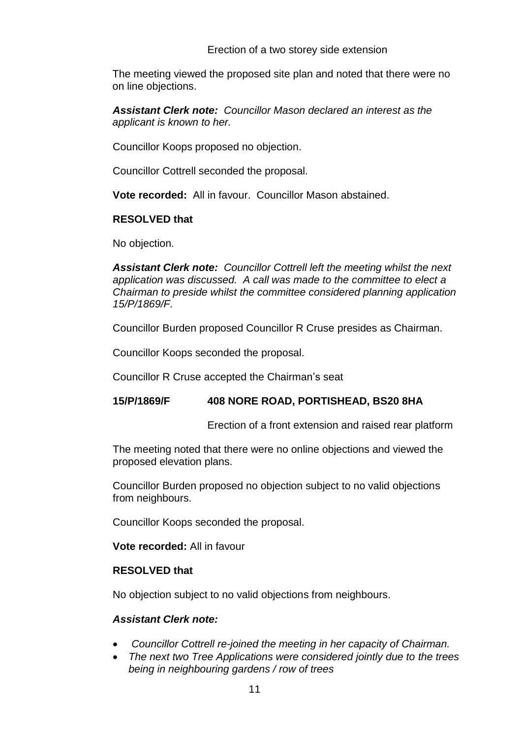The meeting viewed the proposed site plan and noted that there were no on line objections.

*Assistant Clerk note: Councillor Mason declared an interest as the applicant is known to her.* 

Councillor Koops proposed no objection.

Councillor Cottrell seconded the proposal.

**Vote recorded:** All in favour. Councillor Mason abstained.

## **RESOLVED that**

No objection.

*Assistant Clerk note: Councillor Cottrell left the meeting whilst the next application was discussed. A call was made to the committee to elect a Chairman to preside whilst the committee considered planning application 15/P/1869/F.*

Councillor Burden proposed Councillor R Cruse presides as Chairman.

Councillor Koops seconded the proposal.

Councillor R Cruse accepted the Chairman's seat

## **15/P/1869/F 408 NORE ROAD, PORTISHEAD, BS20 8HA**

Erection of a front extension and raised rear platform

The meeting noted that there were no online objections and viewed the proposed elevation plans.

Councillor Burden proposed no objection subject to no valid objections from neighbours.

Councillor Koops seconded the proposal.

**Vote recorded:** All in favour

#### **RESOLVED that**

No objection subject to no valid objections from neighbours.

#### *Assistant Clerk note:*

- *Councillor Cottrell re-joined the meeting in her capacity of Chairman.*
- *The next two Tree Applications were considered jointly due to the trees being in neighbouring gardens / row of trees*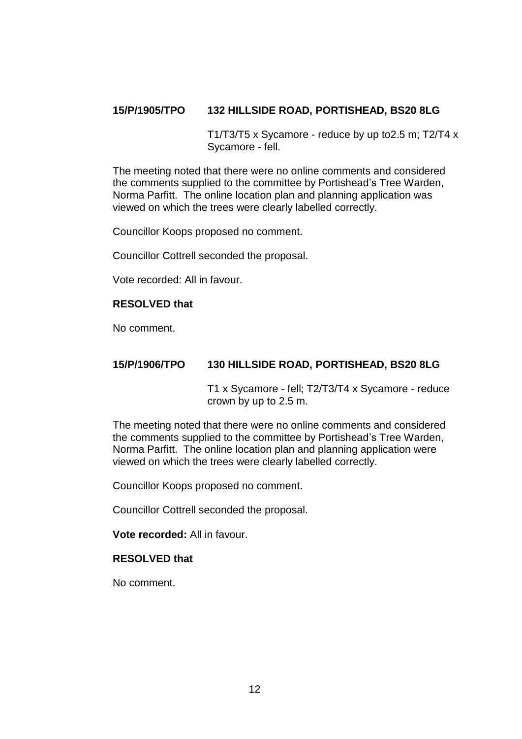## **15/P/1905/TPO 132 HILLSIDE ROAD, PORTISHEAD, BS20 8LG**

T1/T3/T5 x Sycamore - reduce by up to2.5 m; T2/T4 x Sycamore - fell.

The meeting noted that there were no online comments and considered the comments supplied to the committee by Portishead's Tree Warden, Norma Parfitt. The online location plan and planning application was viewed on which the trees were clearly labelled correctly.

Councillor Koops proposed no comment.

Councillor Cottrell seconded the proposal.

Vote recorded: All in favour.

#### **RESOLVED that**

No comment.

#### **15/P/1906/TPO 130 HILLSIDE ROAD, PORTISHEAD, BS20 8LG**

T1 x Sycamore - fell; T2/T3/T4 x Sycamore - reduce crown by up to 2.5 m.

The meeting noted that there were no online comments and considered the comments supplied to the committee by Portishead's Tree Warden, Norma Parfitt. The online location plan and planning application were viewed on which the trees were clearly labelled correctly.

Councillor Koops proposed no comment.

Councillor Cottrell seconded the proposal.

**Vote recorded:** All in favour.

#### **RESOLVED that**

No comment.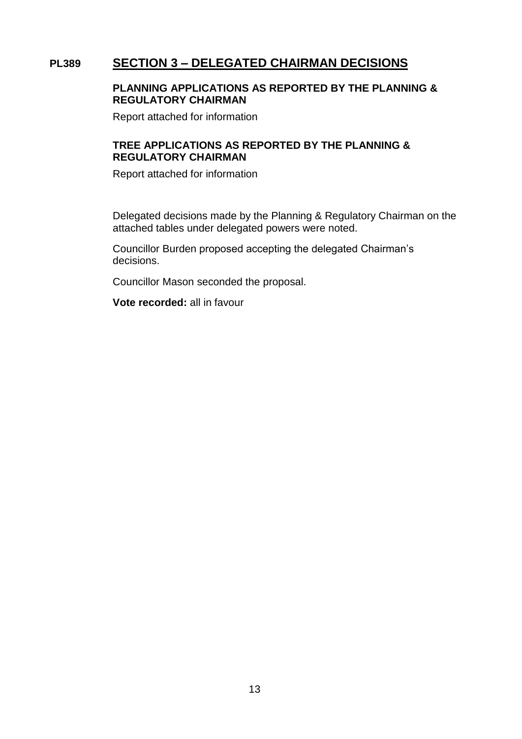## **PL389 SECTION 3 – DELEGATED CHAIRMAN DECISIONS**

## **PLANNING APPLICATIONS AS REPORTED BY THE PLANNING & REGULATORY CHAIRMAN**

Report attached for information

## **TREE APPLICATIONS AS REPORTED BY THE PLANNING & REGULATORY CHAIRMAN**

Report attached for information

Delegated decisions made by the Planning & Regulatory Chairman on the attached tables under delegated powers were noted.

Councillor Burden proposed accepting the delegated Chairman's decisions.

Councillor Mason seconded the proposal.

**Vote recorded:** all in favour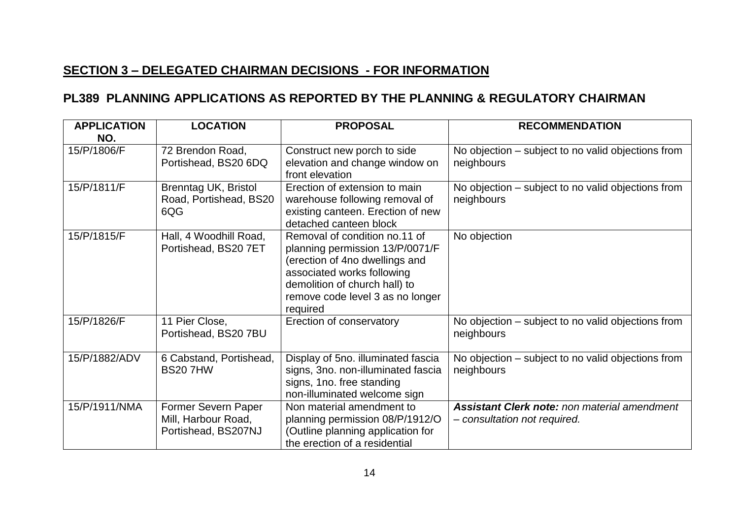# **SECTION 3 – DELEGATED CHAIRMAN DECISIONS - FOR INFORMATION**

# **PL389 PLANNING APPLICATIONS AS REPORTED BY THE PLANNING & REGULATORY CHAIRMAN**

| <b>APPLICATION</b><br>NO. | <b>LOCATION</b>                                                   | <b>PROPOSAL</b>                                                                                                                                                                                                   | <b>RECOMMENDATION</b>                                                               |
|---------------------------|-------------------------------------------------------------------|-------------------------------------------------------------------------------------------------------------------------------------------------------------------------------------------------------------------|-------------------------------------------------------------------------------------|
| 15/P/1806/F               | 72 Brendon Road,<br>Portishead, BS20 6DQ                          | Construct new porch to side<br>elevation and change window on<br>front elevation                                                                                                                                  | No objection – subject to no valid objections from<br>neighbours                    |
| 15/P/1811/F               | Brenntag UK, Bristol<br>Road, Portishead, BS20<br>6QG             | Erection of extension to main<br>warehouse following removal of<br>existing canteen. Erection of new<br>detached canteen block                                                                                    | No objection – subject to no valid objections from<br>neighbours                    |
| 15/P/1815/F               | Hall, 4 Woodhill Road,<br>Portishead, BS20 7ET                    | Removal of condition no.11 of<br>planning permission 13/P/0071/F<br>(erection of 4no dwellings and<br>associated works following<br>demolition of church hall) to<br>remove code level 3 as no longer<br>required | No objection                                                                        |
| 15/P/1826/F               | 11 Pier Close,<br>Portishead, BS20 7BU                            | Erection of conservatory                                                                                                                                                                                          | No objection – subject to no valid objections from<br>neighbours                    |
| 15/P/1882/ADV             | 6 Cabstand, Portishead,<br><b>BS207HW</b>                         | Display of 5no. illuminated fascia<br>signs, 3no. non-illuminated fascia<br>signs, 1no. free standing<br>non-illuminated welcome sign                                                                             | No objection – subject to no valid objections from<br>neighbours                    |
| 15/P/1911/NMA             | Former Severn Paper<br>Mill, Harbour Road,<br>Portishead, BS207NJ | Non material amendment to<br>planning permission 08/P/1912/O<br>(Outline planning application for<br>the erection of a residential                                                                                | <b>Assistant Clerk note: non material amendment</b><br>- consultation not required. |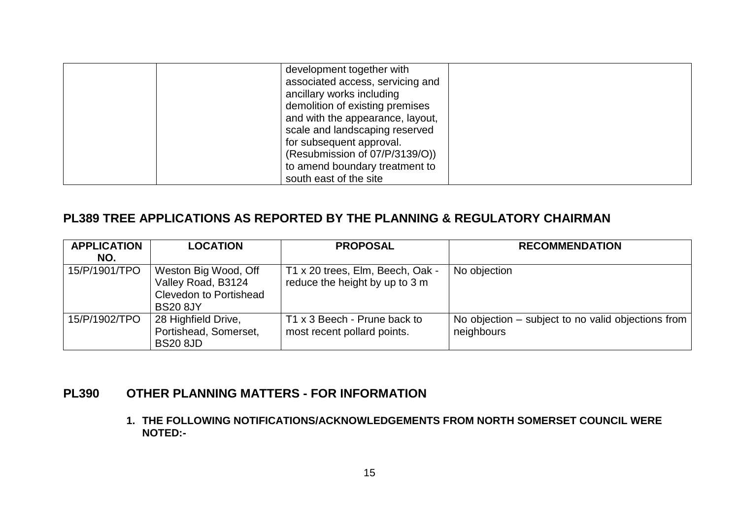|  | development together with        |  |
|--|----------------------------------|--|
|  | associated access, servicing and |  |
|  | ancillary works including        |  |
|  | demolition of existing premises  |  |
|  | and with the appearance, layout, |  |
|  | scale and landscaping reserved   |  |
|  | for subsequent approval.         |  |
|  | (Resubmission of 07/P/3139/O))   |  |
|  | to amend boundary treatment to   |  |
|  | south east of the site           |  |

# **PL389 TREE APPLICATIONS AS REPORTED BY THE PLANNING & REGULATORY CHAIRMAN**

| <b>APPLICATION</b> | <b>LOCATION</b>                                                                                | <b>PROPOSAL</b>                                                    | <b>RECOMMENDATION</b>                                            |
|--------------------|------------------------------------------------------------------------------------------------|--------------------------------------------------------------------|------------------------------------------------------------------|
| NO.                |                                                                                                |                                                                    |                                                                  |
| 15/P/1901/TPO      | Weston Big Wood, Off<br>Valley Road, B3124<br><b>Clevedon to Portishead</b><br><b>BS20 8JY</b> | T1 x 20 trees, Elm, Beech, Oak -<br>reduce the height by up to 3 m | No objection                                                     |
| 15/P/1902/TPO      | 28 Highfield Drive,<br>Portishead, Somerset,<br><b>BS20 8JD</b>                                | T1 x 3 Beech - Prune back to<br>most recent pollard points.        | No objection – subject to no valid objections from<br>neighbours |

# **PL390 OTHER PLANNING MATTERS - FOR INFORMATION**

**1. THE FOLLOWING NOTIFICATIONS/ACKNOWLEDGEMENTS FROM NORTH SOMERSET COUNCIL WERE NOTED:-**